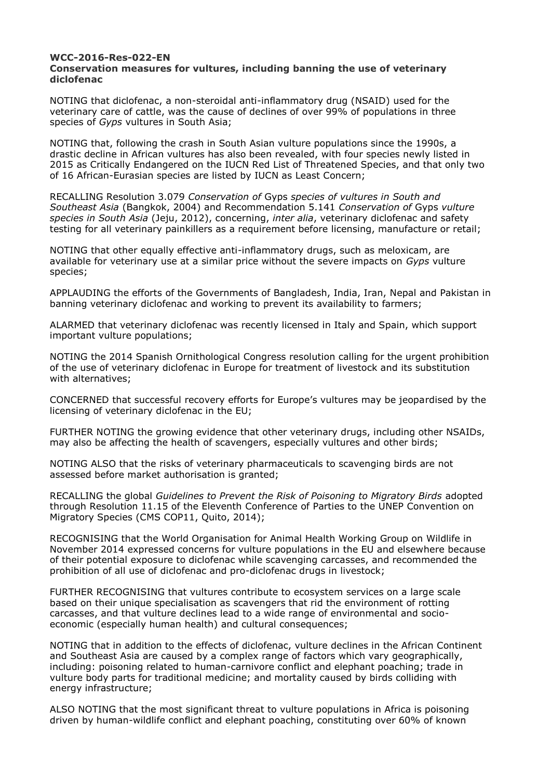## **WCC-2016-Res-022-EN Conservation measures for vultures, including banning the use of veterinary diclofenac**

NOTING that diclofenac, a non-steroidal anti-inflammatory drug (NSAID) used for the veterinary care of cattle, was the cause of declines of over 99% of populations in three species of *Gyps* vultures in South Asia;

NOTING that, following the crash in South Asian vulture populations since the 1990s, a drastic decline in African vultures has also been revealed, with four species newly listed in 2015 as Critically Endangered on the IUCN Red List of Threatened Species, and that only two of 16 African-Eurasian species are listed by IUCN as Least Concern;

RECALLING Resolution 3.079 *Conservation of* Gyps *species of vultures in South and Southeast Asia* (Bangkok, 2004) and Recommendation 5.141 *Conservation of* Gyps *vulture species in South Asia* (Jeju, 2012), concerning, *inter alia*, veterinary diclofenac and safety testing for all veterinary painkillers as a requirement before licensing, manufacture or retail;

NOTING that other equally effective anti-inflammatory drugs, such as meloxicam, are available for veterinary use at a similar price without the severe impacts on *Gyps* vulture species;

APPLAUDING the efforts of the Governments of Bangladesh, India, Iran, Nepal and Pakistan in banning veterinary diclofenac and working to prevent its availability to farmers;

ALARMED that veterinary diclofenac was recently licensed in Italy and Spain, which support important vulture populations;

NOTING the 2014 Spanish Ornithological Congress resolution calling for the urgent prohibition of the use of veterinary diclofenac in Europe for treatment of livestock and its substitution with alternatives;

CONCERNED that successful recovery efforts for Europe's vultures may be jeopardised by the licensing of veterinary diclofenac in the EU;

FURTHER NOTING the growing evidence that other veterinary drugs, including other NSAIDs, may also be affecting the health of scavengers, especially vultures and other birds;

NOTING ALSO that the risks of veterinary pharmaceuticals to scavenging birds are not assessed before market authorisation is granted;

RECALLING the global *Guidelines to Prevent the Risk of Poisoning to Migratory Birds* adopted through Resolution 11.15 of the Eleventh Conference of Parties to the UNEP Convention on Migratory Species (CMS COP11, Quito, 2014);

RECOGNISING that the World Organisation for Animal Health Working Group on Wildlife in November 2014 expressed concerns for vulture populations in the EU and elsewhere because of their potential exposure to diclofenac while scavenging carcasses, and recommended the prohibition of all use of diclofenac and pro-diclofenac drugs in livestock;

FURTHER RECOGNISING that vultures contribute to ecosystem services on a large scale based on their unique specialisation as scavengers that rid the environment of rotting carcasses, and that vulture declines lead to a wide range of environmental and socioeconomic (especially human health) and cultural consequences;

NOTING that in addition to the effects of diclofenac, vulture declines in the African Continent and Southeast Asia are caused by a complex range of factors which vary geographically, including: poisoning related to human-carnivore conflict and elephant poaching; trade in vulture body parts for traditional medicine; and mortality caused by birds colliding with energy infrastructure;

ALSO NOTING that the most significant threat to vulture populations in Africa is poisoning driven by human-wildlife conflict and elephant poaching, constituting over 60% of known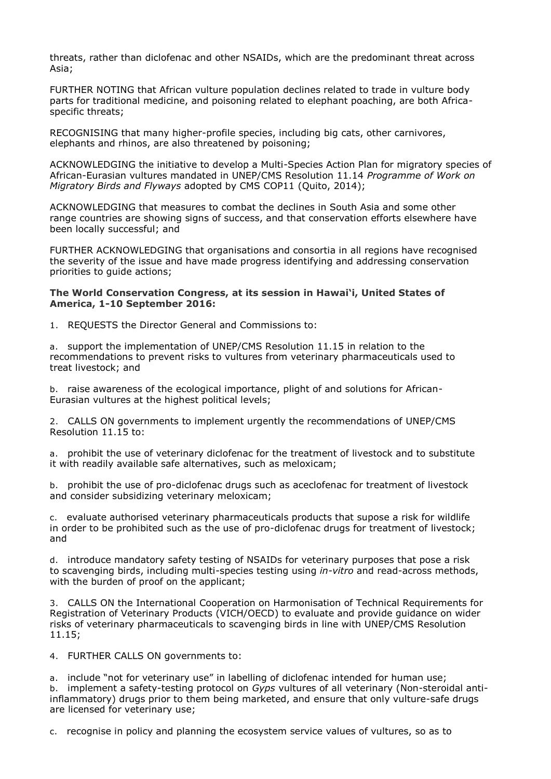threats, rather than diclofenac and other NSAIDs, which are the predominant threat across Asia;

FURTHER NOTING that African vulture population declines related to trade in vulture body parts for traditional medicine, and poisoning related to elephant poaching, are both Africaspecific threats;

RECOGNISING that many higher-profile species, including big cats, other carnivores, elephants and rhinos, are also threatened by poisoning;

ACKNOWLEDGING the initiative to develop a Multi-Species Action Plan for migratory species of African-Eurasian vultures mandated in UNEP/CMS Resolution 11.14 *Programme of Work on Migratory Birds and Flyways* adopted by CMS COP11 (Quito, 2014);

ACKNOWLEDGING that measures to combat the declines in South Asia and some other range countries are showing signs of success, and that conservation efforts elsewhere have been locally successful; and

FURTHER ACKNOWLEDGING that organisations and consortia in all regions have recognised the severity of the issue and have made progress identifying and addressing conservation priorities to guide actions;

## **The World Conservation Congress, at its session in Hawai'i, United States of America, 1-10 September 2016:**

1. REQUESTS the Director General and Commissions to:

a. support the implementation of UNEP/CMS Resolution 11.15 in relation to the recommendations to prevent risks to vultures from veterinary pharmaceuticals used to treat livestock; and

b. raise awareness of the ecological importance, plight of and solutions for African-Eurasian vultures at the highest political levels;

2. CALLS ON governments to implement urgently the recommendations of UNEP/CMS Resolution 11.15 to:

a. prohibit the use of veterinary diclofenac for the treatment of livestock and to substitute it with readily available safe alternatives, such as meloxicam;

b. prohibit the use of pro-diclofenac drugs such as aceclofenac for treatment of livestock and consider subsidizing veterinary meloxicam;

c. evaluate authorised veterinary pharmaceuticals products that supose a risk for wildlife in order to be prohibited such as the use of pro-diclofenac drugs for treatment of livestock; and

d. introduce mandatory safety testing of NSAIDs for veterinary purposes that pose a risk to scavenging birds, including multi-species testing using *in-vitro* and read-across methods, with the burden of proof on the applicant;

3. CALLS ON the International Cooperation on Harmonisation of Technical Requirements for Registration of Veterinary Products (VICH/OECD) to evaluate and provide guidance on wider risks of veterinary pharmaceuticals to scavenging birds in line with UNEP/CMS Resolution 11.15;

4. FURTHER CALLS ON governments to:

a. include "not for veterinary use" in labelling of diclofenac intended for human use; b. implement a safety-testing protocol on *Gyps* vultures of all veterinary (Non-steroidal antiinflammatory) drugs prior to them being marketed, and ensure that only vulture-safe drugs are licensed for veterinary use;

c. recognise in policy and planning the ecosystem service values of vultures, so as to